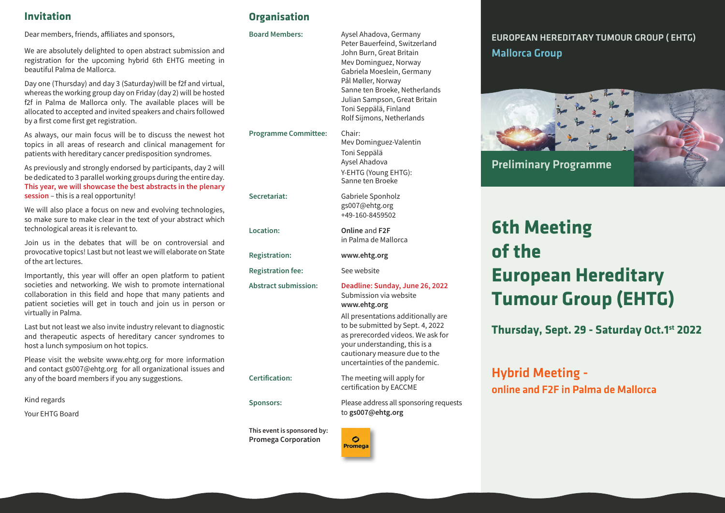Dear members, friends, affiliates and sponsors,

We are absolutely delighted to open abstract submission and registration for the upcoming hybrid 6th EHTG meeting in beautiful Palma de Mallorca.

Day one (Thursday) and day 3 (Saturday)will be f2f and virtual, whereas the working group day on Friday (day 2) will be hosted f2f in Palma de Mallorca only. The available places will be allocated to accepted and invited speakers and chairs followed by a first come first get registration.

As always, our main focus will be to discuss the newest hot topics in all areas of research and clinical management for patients with hereditary cancer predisposition syndromes.

As previously and strongly endorsed by participants, day 2 will be dedicated to 3 parallel working groups during the entire day. This year, we will showcase the best abstracts in the plenary **session** – this is a real opportunity!

We will also place a focus on new and evolving technologies, so make sure to make clear in the text of your abstract which technological areas it is relevant to.

Join us in the debates that will be on controversial and provocative topics! Last but not least we will elaborate on State of the art lectures

Importantly, this year will offer an open platform to patient societies and networking. We wish to promote international collaboration in this field and hope that many patients and patient societies will get in touch and join us in person or virtually in Palma.

Last but not least we also invite industry relevant to diagnostic and therapeutic aspects of hereditary cancer syndromes to host a lunch symposium on hot topics.

Please visit the website www.ehtg.org for more information and contact gs007@ehtg.org for all organizational issues and any of the board members if you any suggestions.

Kind regards

**Your EHTG Board** 

# **Invitation Organisation**

#### Board Members: Aysel Ahadova, Germany

Secretariat:

Location:

**Registration fee:** 

Peter Bauerfeind, Switzerland John Burn, Great Britain Mev Dominguez, Norway Gabriela Moeslein, Germany Pål Møller, Norway Sanne ten Broeke, Netherlands Julian Sampson, Great Britain Toni Seppälä, Finland Rolf Sijmons, Netherlands

**Programme Committee:** Chair: Mev Dominguez-Valentin Toni Seppälä Aysel Ahadova Y-EHTG (Young EHTG): Sanne ten Broeke

> Gabriele Sponholz gs007@ehtg.org +49-160-8459502

Online and F2F in Palma de Mallorca

Registration: www.ehtg.org

 

Abstract submission: Deadline: Sunday, June 26, 2022 Submission via website www.ehtg.org

> All presentations additionally are to be submitted by Sept. 4, 2022 as prerecorded videos. We ask for your understanding, this is a cautionary measure due to the uncertainties of the pandemic.

**ication:** The meeting will apply for certification by EACCME

Sponsors: Flease address all sponsoring requests to gs007@ehtg.org



# EUROPEAN HEREDITARY TUMOUR GROUP ( EHTG) Mallorca Group



# **6th Meeting of the European Hereditary Tumour Group (EHTG)**

**Thursday, Sept. 29 - Saturday Oct.1st 2022**

# Hybrid Meeting online and F2F in Palma de Mallorca

Certification:

This event is sponsored by: